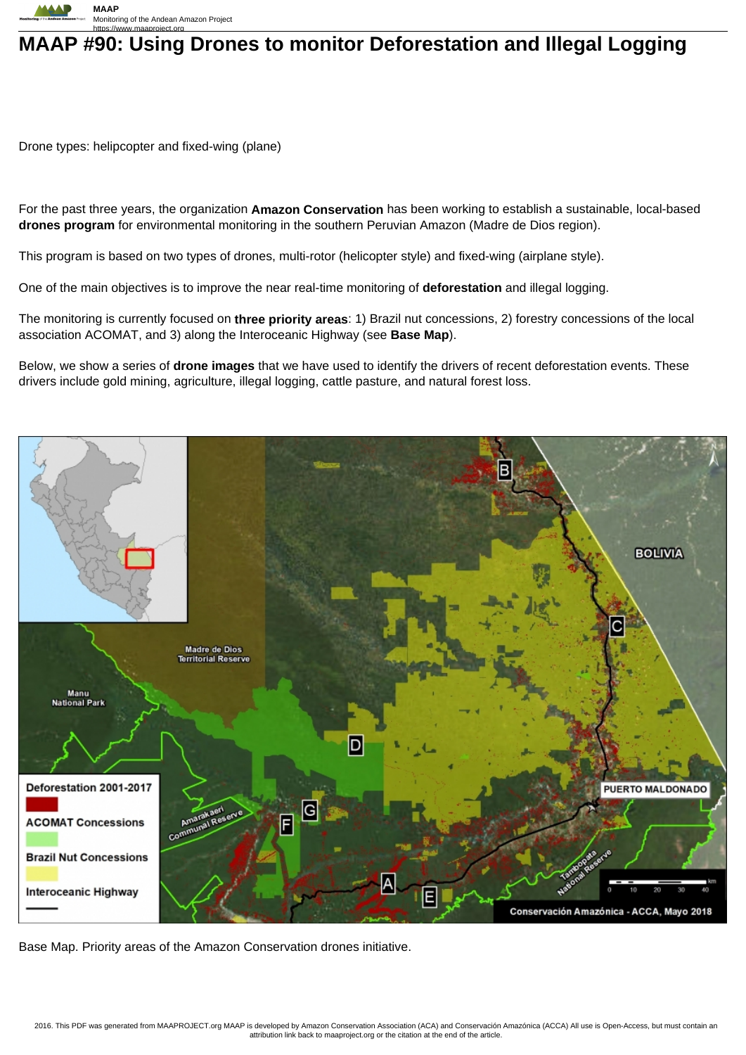

## **MAAP #90: Using Drones to monitor Deforestation and Illegal Logging**

Drone types: helipcopter and fixed-wing (plane)

For the past three years, the organization **Amazon Conservation** has been working to establish a sustainable, local-based **drones program** for environmental monitoring in the southern Peruvian Amazon (Madre de Dios region).

This program is based on two types of drones, multi-rotor (helicopter style) and fixed-wing (airplane style).

One of the main objectives is to improve the near real-time monitoring of **deforestation** and illegal logging.

The monitoring is currently focused on **three priority areas**: 1) Brazil nut concessions, 2) forestry concessions of the local association ACOMAT, and 3) along the Interoceanic Highway (see **Base Map**).

Below, we show a series of **drone images** that we have used to identify the drivers of recent deforestation events. These drivers include gold mining, agriculture, illegal logging, cattle pasture, and natural forest loss.



Base Map. Priority areas of the Amazon Conservation drones initiative.